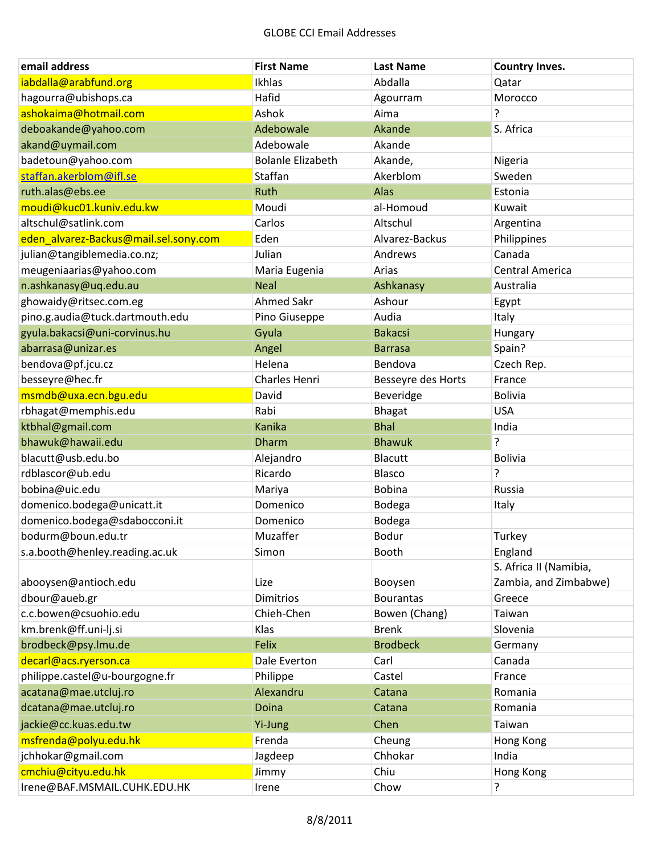| email address                         | <b>First Name</b>        | <b>Last Name</b>   | <b>Country Inves.</b>  |
|---------------------------------------|--------------------------|--------------------|------------------------|
| iabdalla@arabfund.org                 | Ikhlas                   | Abdalla            | Qatar                  |
| hagourra@ubishops.ca                  | Hafid                    | Agourram           | Morocco                |
| ashokaima@hotmail.com                 | Ashok                    | Aima               | ŗ                      |
| deboakande@yahoo.com                  | Adebowale                | Akande             | S. Africa              |
| akand@uymail.com                      | Adebowale                | Akande             |                        |
| badetoun@yahoo.com                    | <b>Bolanle Elizabeth</b> | Akande,            | Nigeria                |
| staffan.akerblom@ifl.se               | Staffan                  | Akerblom           | Sweden                 |
| ruth.alas@ebs.ee                      | Ruth                     | Alas               | Estonia                |
| moudi@kuc01.kuniv.edu.kw              | Moudi                    | al-Homoud          | Kuwait                 |
| altschul@satlink.com                  | Carlos                   | Altschul           | Argentina              |
| eden_alvarez-Backus@mail.sel.sony.com | Eden                     | Alvarez-Backus     | Philippines            |
| julian@tangiblemedia.co.nz;           | Julian                   | Andrews            | Canada                 |
| meugeniaarias@yahoo.com               | Maria Eugenia            | Arias              | <b>Central America</b> |
| n.ashkanasy@uq.edu.au                 | <b>Neal</b>              | Ashkanasy          | Australia              |
| ghowaidy@ritsec.com.eg                | <b>Ahmed Sakr</b>        | Ashour             | Egypt                  |
| pino.g.audia@tuck.dartmouth.edu       | Pino Giuseppe            | Audia              | Italy                  |
| gyula.bakacsi@uni-corvinus.hu         | Gyula                    | <b>Bakacsi</b>     | Hungary                |
| abarrasa@unizar.es                    | Angel                    | <b>Barrasa</b>     | Spain?                 |
| bendova@pf.jcu.cz                     | Helena                   | Bendova            | Czech Rep.             |
| besseyre@hec.fr                       | Charles Henri            | Besseyre des Horts | France                 |
| msmdb@uxa.ecn.bgu.edu                 | David                    | Beveridge          | <b>Bolivia</b>         |
| rbhagat@memphis.edu                   | Rabi                     | <b>Bhagat</b>      | <b>USA</b>             |
| ktbhal@gmail.com                      | <b>Kanika</b>            | <b>Bhal</b>        | India                  |
| bhawuk@hawaii.edu                     | <b>Dharm</b>             | <b>Bhawuk</b>      | ŗ                      |
| blacutt@usb.edu.bo                    | Alejandro                | <b>Blacutt</b>     | <b>Bolivia</b>         |
| rdblascor@ub.edu                      | Ricardo                  | Blasco             | 5.                     |
| bobina@uic.edu                        | Mariya                   | <b>Bobina</b>      | Russia                 |
| domenico.bodega@unicatt.it            | Domenico                 | Bodega             | Italy                  |
| domenico.bodega@sdabocconi.it         | Domenico                 | Bodega             |                        |
| bodurm@boun.edu.tr                    | Muzaffer                 | Bodur              | Turkey                 |
| s.a.booth@henley.reading.ac.uk        | Simon                    | Booth              | England                |
|                                       |                          |                    | S. Africa II (Namibia, |
| abooysen@antioch.edu                  | Lize                     | Booysen            | Zambia, and Zimbabwe)  |
| dbour@aueb.gr                         | Dimitrios                | <b>Bourantas</b>   | Greece                 |
| c.c.bowen@csuohio.edu                 | Chieh-Chen               | Bowen (Chang)      | Taiwan                 |
| km.brenk@ff.uni-lj.si                 | Klas                     | <b>Brenk</b>       | Slovenia               |
| brodbeck@psy.lmu.de                   | Felix                    | <b>Brodbeck</b>    | Germany                |
| decarl@acs.ryerson.ca                 | Dale Everton             | Carl               | Canada                 |
| philippe.castel@u-bourgogne.fr        | Philippe                 | Castel             | France                 |
| acatana@mae.utcluj.ro                 | Alexandru                | Catana             | Romania                |
| dcatana@mae.utcluj.ro                 | Doina                    | Catana             | Romania                |
| jackie@cc.kuas.edu.tw                 | Yi-Jung                  | Chen               | Taiwan                 |
| msfrenda@polyu.edu.hk                 | Frenda                   | Cheung             | <b>Hong Kong</b>       |
| jchhokar@gmail.com                    | Jagdeep                  | Chhokar            | India                  |
| cmchiu@cityu.edu.hk                   | Jimmy                    | Chiu               | <b>Hong Kong</b>       |
| Irene@BAF.MSMAIL.CUHK.EDU.HK          | Irene                    | Chow               | ?                      |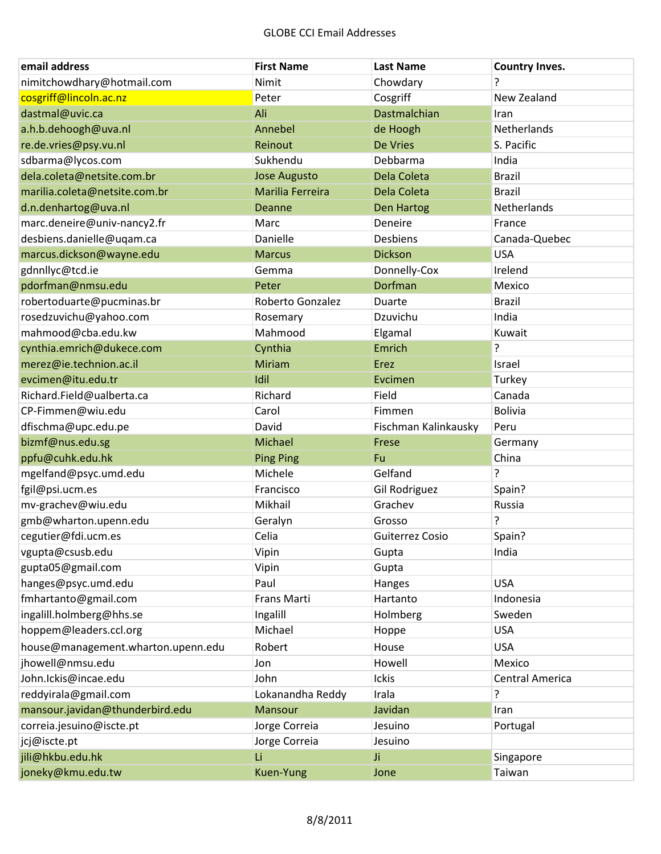| email address                      | <b>First Name</b>   | <b>Last Name</b>     | <b>Country Inves.</b>  |
|------------------------------------|---------------------|----------------------|------------------------|
| nimitchowdhary@hotmail.com         | Nimit               | Chowdary             | ?                      |
| cosgriff@lincoln.ac.nz             | Peter               | Cosgriff             | New Zealand            |
| dastmal@uvic.ca                    | Ali                 | Dastmalchian         | Iran                   |
| a.h.b.dehoogh@uva.nl               | Annebel             | de Hoogh             | Netherlands            |
| re.de.vries@psy.vu.nl              | Reinout             | <b>De Vries</b>      | S. Pacific             |
| sdbarma@lycos.com                  | Sukhendu            | Debbarma             | India                  |
| dela.coleta@netsite.com.br         | <b>Jose Augusto</b> | Dela Coleta          | <b>Brazil</b>          |
| marilia.coleta@netsite.com.br      | Marilia Ferreira    | Dela Coleta          | <b>Brazil</b>          |
| d.n.denhartog@uva.nl               | Deanne              | <b>Den Hartog</b>    | Netherlands            |
| marc.deneire@univ-nancy2.fr        | Marc                | Deneire              | France                 |
| desbiens.danielle@uqam.ca          | Danielle            | Desbiens             | Canada-Quebec          |
| marcus.dickson@wayne.edu           | <b>Marcus</b>       | <b>Dickson</b>       | <b>USA</b>             |
| gdnnllyc@tcd.ie                    | Gemma               | Donnelly-Cox         | Irelend                |
| pdorfman@nmsu.edu                  | Peter               | Dorfman              | Mexico                 |
| robertoduarte@pucminas.br          | Roberto Gonzalez    | Duarte               | <b>Brazil</b>          |
| rosedzuvichu@yahoo.com             | Rosemary            | Dzuvichu             | India                  |
| mahmood@cba.edu.kw                 | Mahmood             | Elgamal              | Kuwait                 |
| cynthia.emrich@dukece.com          | Cynthia             | Emrich               | ?                      |
| merez@ie.technion.ac.il            | Miriam              | Erez                 | Israel                 |
| evcimen@itu.edu.tr                 | Idil                | Evcimen              | Turkey                 |
| Richard.Field@ualberta.ca          | Richard             | Field                | Canada                 |
| CP-Fimmen@wiu.edu                  | Carol               | Fimmen               | <b>Bolivia</b>         |
| dfischma@upc.edu.pe                | David               | Fischman Kalinkausky | Peru                   |
| bizmf@nus.edu.sg                   | Michael             | Frese                | Germany                |
| ppfu@cuhk.edu.hk                   | <b>Ping Ping</b>    | Fu                   | China                  |
| mgelfand@psyc.umd.edu              | Michele             | Gelfand              | ?                      |
| fgil@psi.ucm.es                    | Francisco           | Gil Rodriguez        | Spain?                 |
| mv-grachev@wiu.edu                 | Mikhail             | Grachev              | Russia                 |
| gmb@wharton.upenn.edu              | Geralyn             | Grosso               | 5.                     |
| cegutier@fdi.ucm.es                | Celia               | Guiterrez Cosio      | Spain?                 |
| vgupta@csusb.edu                   | Vipin               | Gupta                | India                  |
| gupta05@gmail.com                  | Vipin               | Gupta                |                        |
| hanges@psyc.umd.edu                | Paul                | Hanges               | <b>USA</b>             |
| fmhartanto@gmail.com               | Frans Marti         | Hartanto             | Indonesia              |
| ingalill.holmberg@hhs.se           | Ingalill            | Holmberg             | Sweden                 |
| hoppem@leaders.ccl.org             | Michael             | Hoppe                | <b>USA</b>             |
| house@management.wharton.upenn.edu | Robert              | House                | <b>USA</b>             |
| jhowell@nmsu.edu                   | Jon                 | Howell               | Mexico                 |
| John.Ickis@incae.edu               | John                | Ickis                | <b>Central America</b> |
| reddyirala@gmail.com               | Lokanandha Reddy    | Irala                | 5.                     |
| mansour.javidan@thunderbird.edu    | Mansour             | Javidan              | Iran                   |
| correia.jesuino@iscte.pt           | Jorge Correia       | Jesuino              | Portugal               |
| jcj@iscte.pt                       | Jorge Correia       | Jesuino              |                        |
| jili@hkbu.edu.hk                   | Li                  | Ji.                  | Singapore              |
| joneky@kmu.edu.tw                  | Kuen-Yung           | Jone                 | Taiwan                 |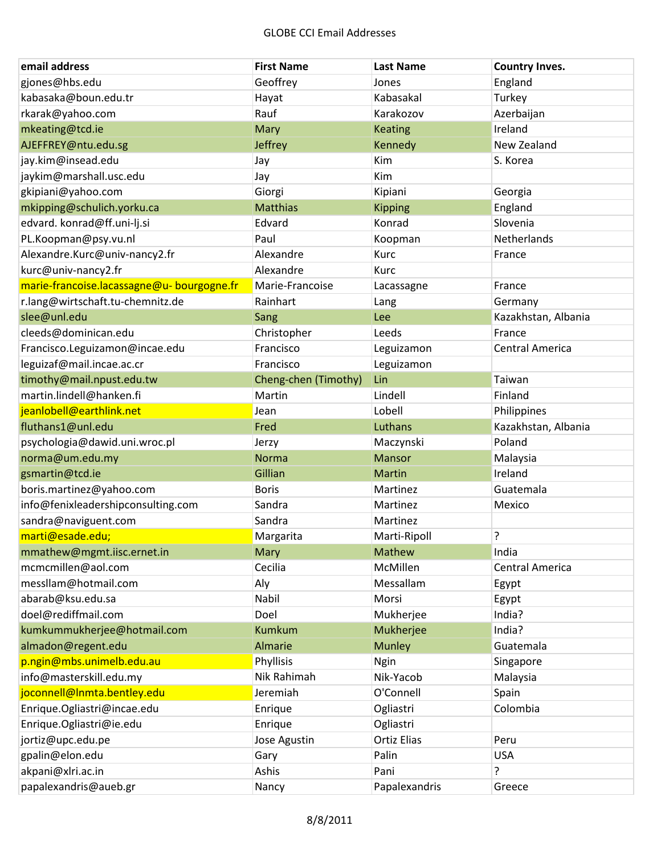| email address                              | <b>First Name</b>    | <b>Last Name</b>   | <b>Country Inves.</b>  |
|--------------------------------------------|----------------------|--------------------|------------------------|
| gjones@hbs.edu                             | Geoffrey             | Jones              | England                |
| kabasaka@boun.edu.tr                       | Hayat                | Kabasakal          | Turkey                 |
| rkarak@yahoo.com                           | Rauf                 | Karakozov          | Azerbaijan             |
| mkeating@tcd.ie                            | <b>Mary</b>          | <b>Keating</b>     | Ireland                |
| AJEFFREY@ntu.edu.sg                        | Jeffrey              | Kennedy            | New Zealand            |
| jay.kim@insead.edu                         | Jay                  | Kim                | S. Korea               |
| jaykim@marshall.usc.edu                    | Jay                  | Kim                |                        |
| gkipiani@yahoo.com                         | Giorgi               | Kipiani            | Georgia                |
| mkipping@schulich.yorku.ca                 | <b>Matthias</b>      | <b>Kipping</b>     | England                |
| edvard. konrad@ff.uni-lj.si                | Edvard               | Konrad             | Slovenia               |
| PL.Koopman@psy.vu.nl                       | Paul                 | Koopman            | Netherlands            |
| Alexandre.Kurc@univ-nancy2.fr              | Alexandre            | Kurc               | France                 |
| kurc@univ-nancy2.fr                        | Alexandre            | Kurc               |                        |
| marie-francoise.lacassagne@u- bourgogne.fr | Marie-Francoise      | Lacassagne         | France                 |
| r.lang@wirtschaft.tu-chemnitz.de           | Rainhart             | Lang               | Germany                |
| slee@unl.edu                               | Sang                 | Lee                | Kazakhstan, Albania    |
| cleeds@dominican.edu                       | Christopher          | Leeds              | France                 |
| Francisco.Leguizamon@incae.edu             | Francisco            | Leguizamon         | <b>Central America</b> |
| leguizaf@mail.incae.ac.cr                  | Francisco            | Leguizamon         |                        |
| timothy@mail.npust.edu.tw                  | Cheng-chen (Timothy) | Lin                | Taiwan                 |
| martin.lindell@hanken.fi                   | Martin               | Lindell            | Finland                |
| jeanlobell@earthlink.net                   | Jean                 | Lobell             | Philippines            |
| fluthans1@unl.edu                          | Fred                 | Luthans            | Kazakhstan, Albania    |
| psychologia@dawid.uni.wroc.pl              | Jerzy                | Maczynski          | Poland                 |
| norma@um.edu.my                            | <b>Norma</b>         | Mansor             | Malaysia               |
| gsmartin@tcd.ie                            | Gillian              | <b>Martin</b>      | Ireland                |
| boris.martinez@yahoo.com                   | <b>Boris</b>         | Martinez           | Guatemala              |
| info@fenixleadershipconsulting.com         | Sandra               | Martinez           | Mexico                 |
| sandra@naviguent.com                       | Sandra               | Martinez           |                        |
| marti@esade.edu;                           | Margarita            | Marti-Ripoll       | ŗ                      |
| mmathew@mgmt.iisc.ernet.in                 | Mary                 | Mathew             | India                  |
| mcmcmillen@aol.com                         | Cecilia              | McMillen           | <b>Central America</b> |
| messllam@hotmail.com                       | Aly                  | Messallam          | Egypt                  |
| abarab@ksu.edu.sa                          | Nabil                | Morsi              | Egypt                  |
| doel@rediffmail.com                        | Doel                 | Mukherjee          | India?                 |
| kumkummukherjee@hotmail.com                | <b>Kumkum</b>        | Mukherjee          | India?                 |
| almadon@regent.edu                         | <b>Almarie</b>       | <b>Munley</b>      | Guatemala              |
| p.ngin@mbs.unimelb.edu.au                  | Phyllisis            | <b>Ngin</b>        | Singapore              |
| info@masterskill.edu.my                    | Nik Rahimah          | Nik-Yacob          | Malaysia               |
| joconnell@Inmta.bentley.edu                | Jeremiah             | O'Connell          | Spain                  |
| Enrique.Ogliastri@incae.edu                | Enrique              | Ogliastri          | Colombia               |
| Enrique.Ogliastri@ie.edu                   | Enrique              | Ogliastri          |                        |
| jortiz@upc.edu.pe                          | Jose Agustin         | <b>Ortiz Elias</b> | Peru                   |
| gpalin@elon.edu                            | Gary                 | Palin              | <b>USA</b>             |
| akpani@xlri.ac.in                          | Ashis                | Pani               | ?                      |
| papalexandris@aueb.gr                      | Nancy                | Papalexandris      | Greece                 |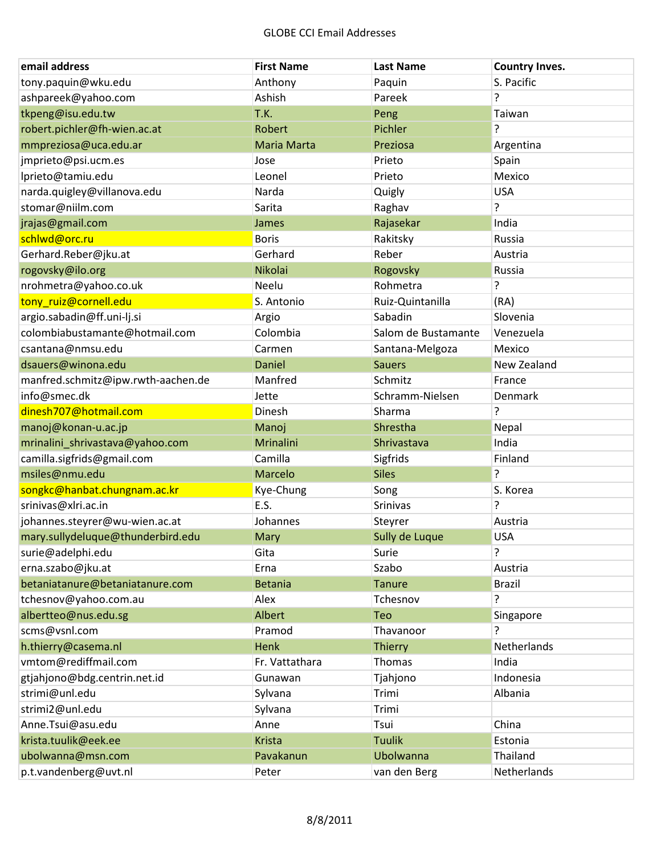| email address                      | <b>First Name</b>  | <b>Last Name</b>    | <b>Country Inves.</b> |
|------------------------------------|--------------------|---------------------|-----------------------|
| tony.paquin@wku.edu                | Anthony            | Paquin              | S. Pacific            |
| ashpareek@yahoo.com                | Ashish             | Pareek              | ŗ                     |
| tkpeng@isu.edu.tw                  | T.K.               | Peng                | Taiwan                |
| robert.pichler@fh-wien.ac.at       | Robert             | Pichler             | ?                     |
| mmpreziosa@uca.edu.ar              | <b>Maria Marta</b> | Preziosa            | Argentina             |
| jmprieto@psi.ucm.es                | Jose               | Prieto              | Spain                 |
| lprieto@tamiu.edu                  | Leonel             | Prieto              | Mexico                |
| narda.quigley@villanova.edu        | Narda              | Quigly              | <b>USA</b>            |
| stomar@niilm.com                   | Sarita             | Raghav              | 5.                    |
| jrajas@gmail.com                   | James              | Rajasekar           | India                 |
| schlwd@orc.ru                      | <b>Boris</b>       | Rakitsky            | Russia                |
| Gerhard.Reber@jku.at               | Gerhard            | Reber               | Austria               |
| rogovsky@ilo.org                   | Nikolai            | Rogovsky            | Russia                |
| nrohmetra@yahoo.co.uk              | Neelu              | Rohmetra            | 5.                    |
| tony ruiz@cornell.edu              | S. Antonio         | Ruiz-Quintanilla    | (RA)                  |
| argio.sabadin@ff.uni-lj.si         | Argio              | Sabadin             | Slovenia              |
| colombiabustamante@hotmail.com     | Colombia           | Salom de Bustamante | Venezuela             |
| csantana@nmsu.edu                  | Carmen             | Santana-Melgoza     | Mexico                |
| dsauers@winona.edu                 | <b>Daniel</b>      | <b>Sauers</b>       | New Zealand           |
| manfred.schmitz@ipw.rwth-aachen.de | Manfred            | Schmitz             | France                |
| info@smec.dk                       | Jette              | Schramm-Nielsen     | Denmark               |
| dinesh707@hotmail.com              | Dinesh             | Sharma              | 5.                    |
| manoj@konan-u.ac.jp                | Manoj              | Shrestha            | Nepal                 |
| mrinalini_shrivastava@yahoo.com    | Mrinalini          | Shrivastava         | India                 |
| camilla.sigfrids@gmail.com         | Camilla            | Sigfrids            | Finland               |
| msiles@nmu.edu                     | Marcelo            | <b>Siles</b>        | ŗ                     |
| songkc@hanbat.chungnam.ac.kr       | Kye-Chung          | Song                | S. Korea              |
| srinivas@xlri.ac.in                | E.S.               | <b>Srinivas</b>     | ?                     |
| johannes.steyrer@wu-wien.ac.at     | Johannes           | Steyrer             | Austria               |
| mary.sullydeluque@thunderbird.edu  | Mary               | Sully de Luque      | <b>USA</b>            |
| surie@adelphi.edu                  | Gita               | Surie               | ŗ                     |
| erna.szabo@jku.at                  | Erna               | Szabo               | Austria               |
| betaniatanure@betaniatanure.com    | <b>Betania</b>     | <b>Tanure</b>       | <b>Brazil</b>         |
| tchesnov@yahoo.com.au              | Alex               | Tchesnov            | 5.                    |
| albertteo@nus.edu.sg               | Albert             | <b>Teo</b>          | Singapore             |
| scms@vsnl.com                      | Pramod             | Thavanoor           | ?                     |
| h.thierry@casema.nl                | <b>Henk</b>        | <b>Thierry</b>      | Netherlands           |
| vmtom@rediffmail.com               | Fr. Vattathara     | Thomas              | India                 |
| gtjahjono@bdg.centrin.net.id       | Gunawan            | Tjahjono            | Indonesia             |
| strimi@unl.edu                     | Sylvana            | Trimi               | Albania               |
| strimi2@unl.edu                    | Sylvana            | Trimi               |                       |
| Anne.Tsui@asu.edu                  | Anne               | Tsui                | China                 |
| krista.tuulik@eek.ee               | <b>Krista</b>      | <b>Tuulik</b>       | Estonia               |
| ubolwanna@msn.com                  | Pavakanun          | Ubolwanna           | Thailand              |
| p.t.vandenberg@uvt.nl              | Peter              | van den Berg        | Netherlands           |